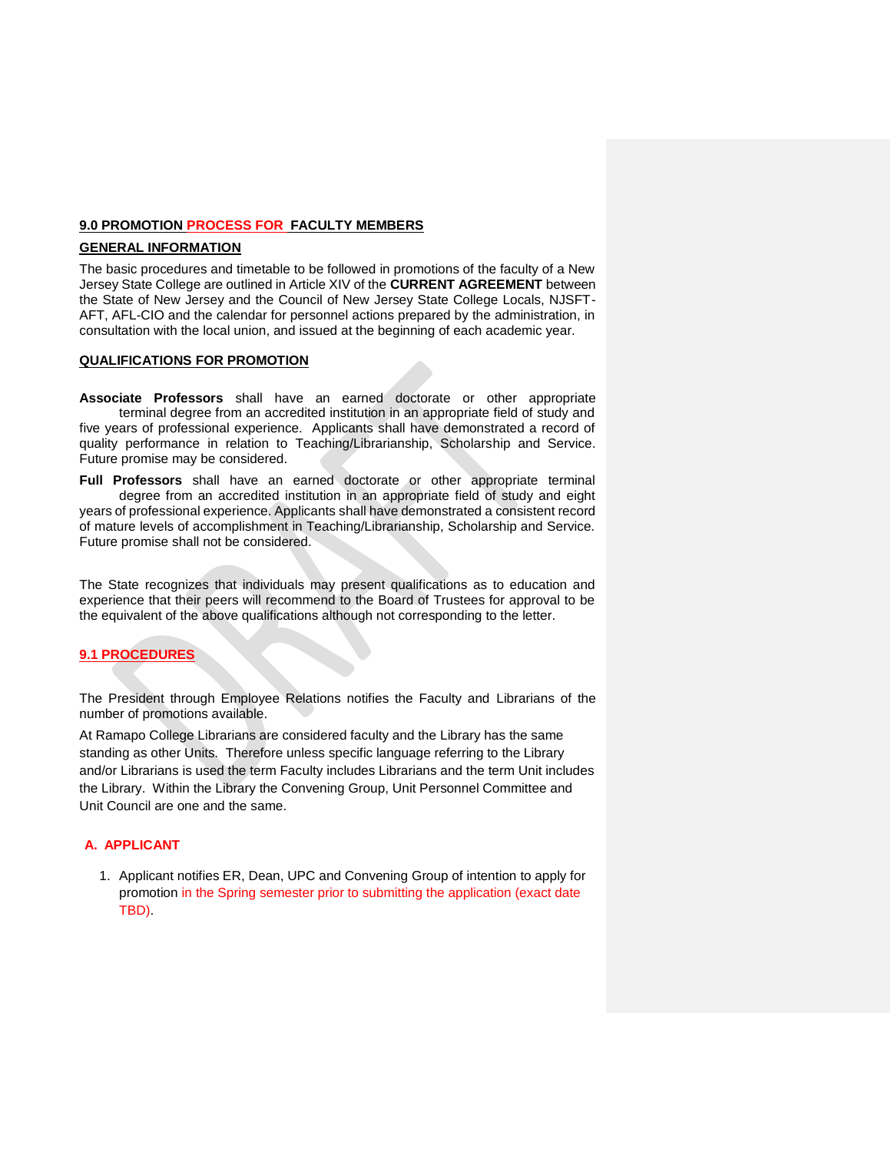# **9.0 PROMOTION PROCESS FOR FACULTY MEMBERS**

# **GENERAL INFORMATION**

The basic procedures and timetable to be followed in promotions of the faculty of a New Jersey State College are outlined in Article XIV of the **CURRENT AGREEMENT** between the State of New Jersey and the Council of New Jersey State College Locals, NJSFT-AFT, AFL-CIO and the calendar for personnel actions prepared by the administration, in consultation with the local union, and issued at the beginning of each academic year.

#### **QUALIFICATIONS FOR PROMOTION**

**Associate Professors** shall have an earned doctorate or other appropriate terminal degree from an accredited institution in an appropriate field of study and five years of professional experience. Applicants shall have demonstrated a record of quality performance in relation to Teaching/Librarianship, Scholarship and Service. Future promise may be considered.

**Full Professors** shall have an earned doctorate or other appropriate terminal degree from an accredited institution in an appropriate field of study and eight years of professional experience. Applicants shall have demonstrated a consistent record of mature levels of accomplishment in Teaching/Librarianship, Scholarship and Service. Future promise shall not be considered.

The State recognizes that individuals may present qualifications as to education and experience that their peers will recommend to the Board of Trustees for approval to be the equivalent of the above qualifications although not corresponding to the letter.

# **9.1 PROCEDURES**

The President through Employee Relations notifies the Faculty and Librarians of the number of promotions available.

At Ramapo College Librarians are considered faculty and the Library has the same standing as other Units. Therefore unless specific language referring to the Library and/or Librarians is used the term Faculty includes Librarians and the term Unit includes the Library. Within the Library the Convening Group, Unit Personnel Committee and Unit Council are one and the same.

## **A. APPLICANT**

1. Applicant notifies ER, Dean, UPC and Convening Group of intention to apply for promotion in the Spring semester prior to submitting the application (exact date TBD).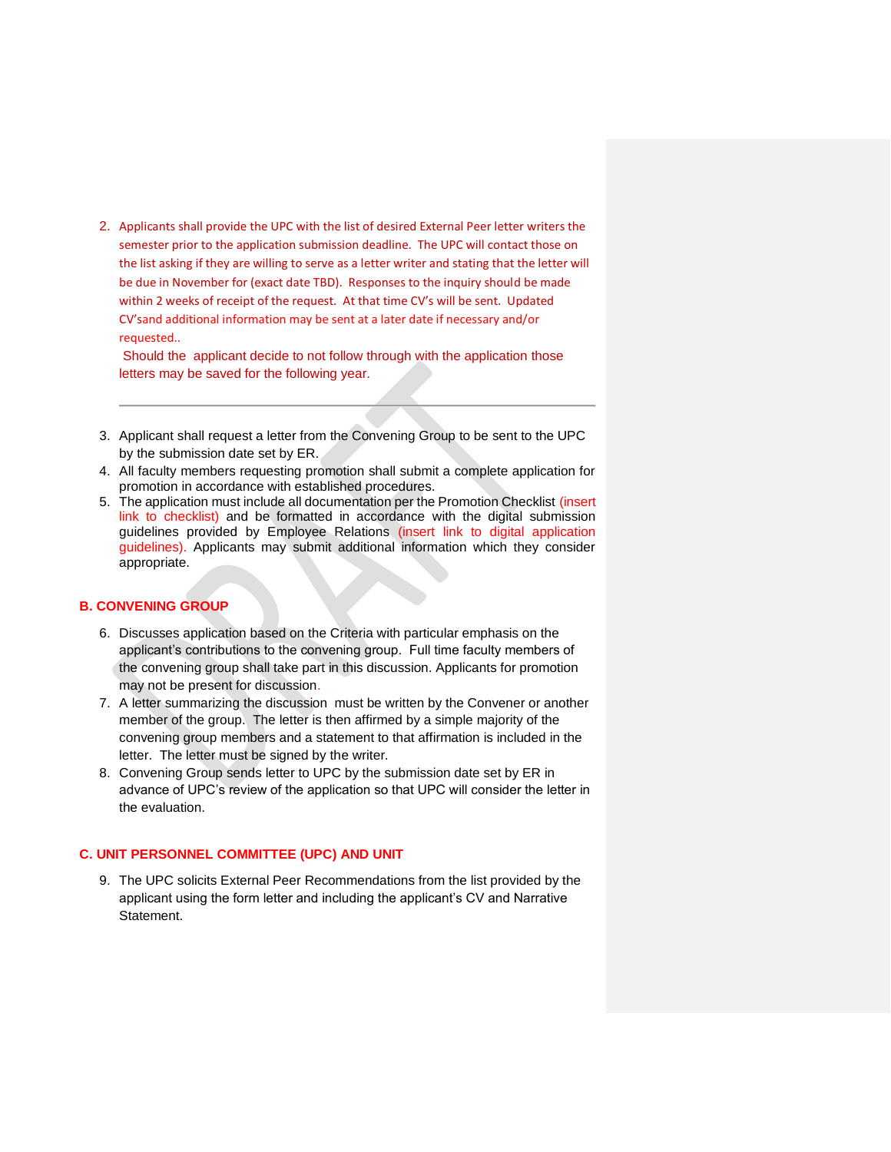2. Applicants shall provide the UPC with the list of desired External Peer letter writers the semester prior to the application submission deadline. The UPC will contact those on the list asking if they are willing to serve as a letter writer and stating that the letter will be due in November for (exact date TBD). Responses to the inquiry should be made within 2 weeks of receipt of the request. At that time CV's will be sent. Updated CV'sand additional information may be sent at a later date if necessary and/or requested..

Should the applicant decide to not follow through with the application those letters may be saved for the following year.

- 3. Applicant shall request a letter from the Convening Group to be sent to the UPC by the submission date set by ER.
- 4. All faculty members requesting promotion shall submit a complete application for promotion in accordance with established procedures.
- 5. The application must include all documentation per the Promotion Checklist (insert link to checklist) and be formatted in accordance with the digital submission guidelines provided by Employee Relations (insert link to digital application guidelines). Applicants may submit additional information which they consider appropriate.

## **B. CONVENING GROUP**

- 6. Discusses application based on the Criteria with particular emphasis on the applicant's contributions to the convening group. Full time faculty members of the convening group shall take part in this discussion. Applicants for promotion may not be present for discussion.
- 7. A letter summarizing the discussion must be written by the Convener or another member of the group. The letter is then affirmed by a simple majority of the convening group members and a statement to that affirmation is included in the letter. The letter must be signed by the writer.
- 8. Convening Group sends letter to UPC by the submission date set by ER in advance of UPC's review of the application so that UPC will consider the letter in the evaluation.

## **C. UNIT PERSONNEL COMMITTEE (UPC) AND UNIT**

9. The UPC solicits External Peer Recommendations from the list provided by the applicant using the form letter and including the applicant's CV and Narrative Statement.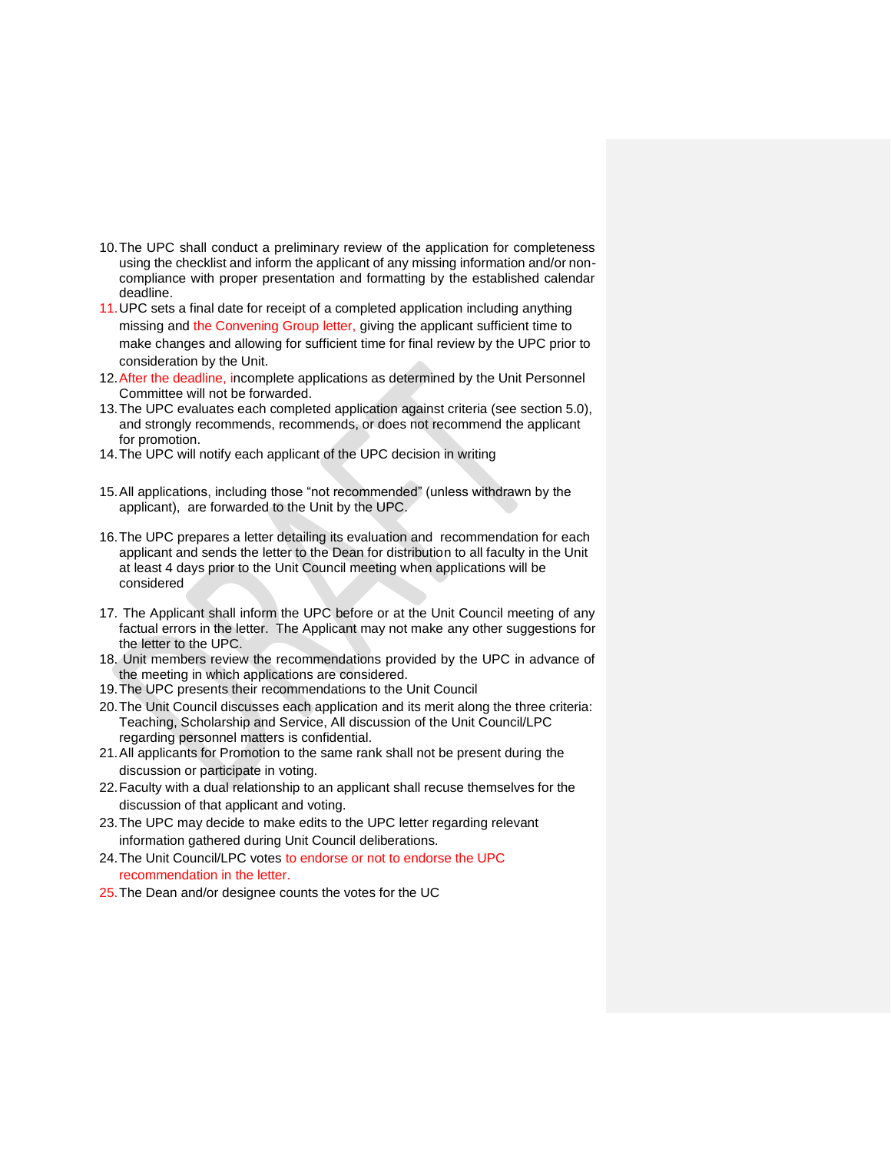- 10.The UPC shall conduct a preliminary review of the application for completeness using the checklist and inform the applicant of any missing information and/or noncompliance with proper presentation and formatting by the established calendar deadline.
- 11.UPC sets a final date for receipt of a completed application including anything missing and the Convening Group letter, giving the applicant sufficient time to make changes and allowing for sufficient time for final review by the UPC prior to consideration by the Unit.
- 12.After the deadline, incomplete applications as determined by the Unit Personnel Committee will not be forwarded.
- 13.The UPC evaluates each completed application against criteria (see section 5.0), and strongly recommends, recommends, or does not recommend the applicant for promotion.
- 14.The UPC will notify each applicant of the UPC decision in writing
- 15.All applications, including those "not recommended" (unless withdrawn by the applicant), are forwarded to the Unit by the UPC.
- 16.The UPC prepares a letter detailing its evaluation and recommendation for each applicant and sends the letter to the Dean for distribution to all faculty in the Unit at least 4 days prior to the Unit Council meeting when applications will be considered
- 17. The Applicant shall inform the UPC before or at the Unit Council meeting of any factual errors in the letter. The Applicant may not make any other suggestions for the letter to the UPC.
- 18. Unit members review the recommendations provided by the UPC in advance of the meeting in which applications are considered.
- 19.The UPC presents their recommendations to the Unit Council
- 20.The Unit Council discusses each application and its merit along the three criteria: Teaching, Scholarship and Service, All discussion of the Unit Council/LPC regarding personnel matters is confidential.
- 21.All applicants for Promotion to the same rank shall not be present during the discussion or participate in voting.
- 22.Faculty with a dual relationship to an applicant shall recuse themselves for the discussion of that applicant and voting.
- 23.The UPC may decide to make edits to the UPC letter regarding relevant information gathered during Unit Council deliberations.
- 24.The Unit Council/LPC votes to endorse or not to endorse the UPC recommendation in the letter.
- 25.The Dean and/or designee counts the votes for the UC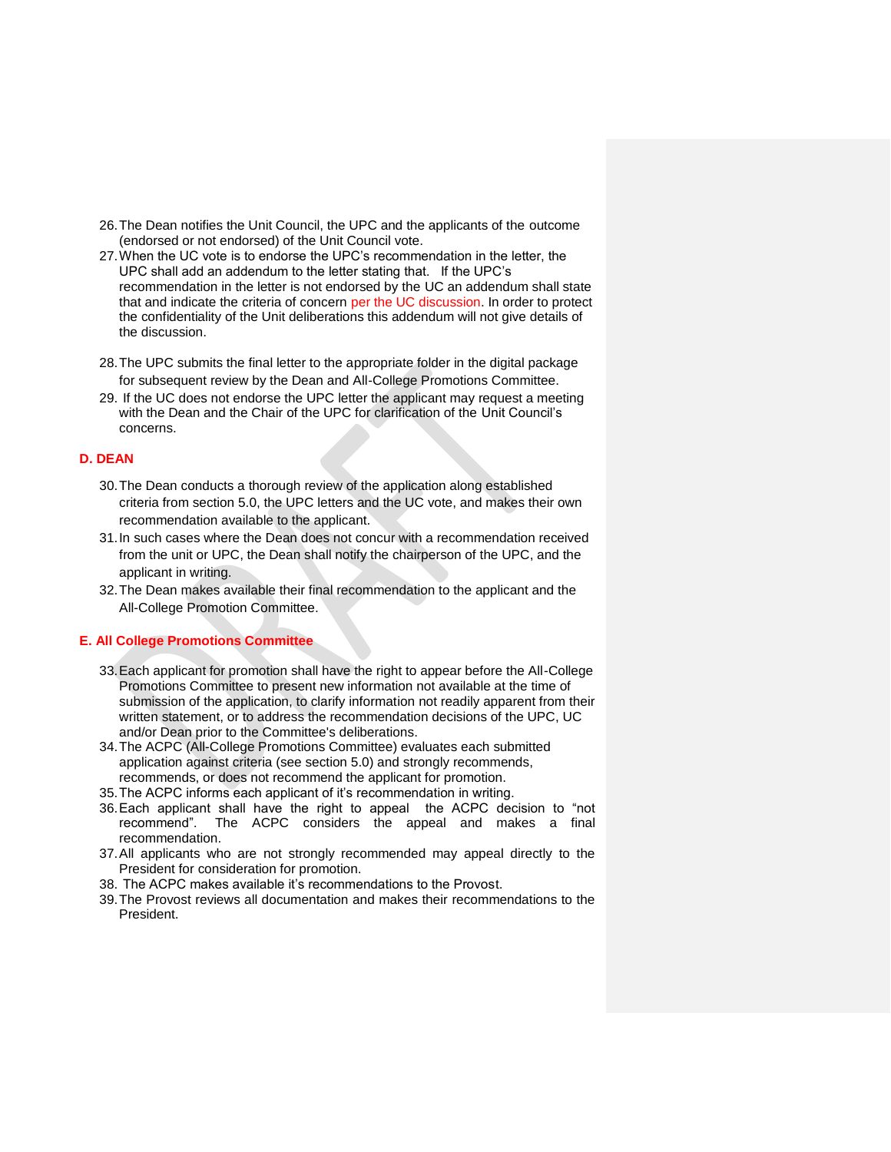- 26.The Dean notifies the Unit Council, the UPC and the applicants of the outcome (endorsed or not endorsed) of the Unit Council vote.
- 27.When the UC vote is to endorse the UPC's recommendation in the letter, the UPC shall add an addendum to the letter stating that. If the UPC's recommendation in the letter is not endorsed by the UC an addendum shall state that and indicate the criteria of concern per the UC discussion. In order to protect the confidentiality of the Unit deliberations this addendum will not give details of the discussion.
- 28.The UPC submits the final letter to the appropriate folder in the digital package for subsequent review by the Dean and All-College Promotions Committee.
- 29. If the UC does not endorse the UPC letter the applicant may request a meeting with the Dean and the Chair of the UPC for clarification of the Unit Council's concerns.

# **D. DEAN**

- 30.The Dean conducts a thorough review of the application along established criteria from section 5.0, the UPC letters and the UC vote, and makes their own recommendation available to the applicant.
- 31.In such cases where the Dean does not concur with a recommendation received from the unit or UPC, the Dean shall notify the chairperson of the UPC, and the applicant in writing.
- 32.The Dean makes available their final recommendation to the applicant and the All-College Promotion Committee.

## **E. All College Promotions Committee**

- 33.Each applicant for promotion shall have the right to appear before the All-College Promotions Committee to present new information not available at the time of submission of the application, to clarify information not readily apparent from their written statement, or to address the recommendation decisions of the UPC, UC and/or Dean prior to the Committee's deliberations.
- 34.The ACPC (All-College Promotions Committee) evaluates each submitted application against criteria (see section 5.0) and strongly recommends, recommends, or does not recommend the applicant for promotion.
- 35.The ACPC informs each applicant of it's recommendation in writing.
- 36.Each applicant shall have the right to appeal the ACPC decision to "not recommend". The ACPC considers the appeal and makes a final recommendation.
- 37.All applicants who are not strongly recommended may appeal directly to the President for consideration for promotion.
- 38. The ACPC makes available it's recommendations to the Provost.
- 39.The Provost reviews all documentation and makes their recommendations to the President.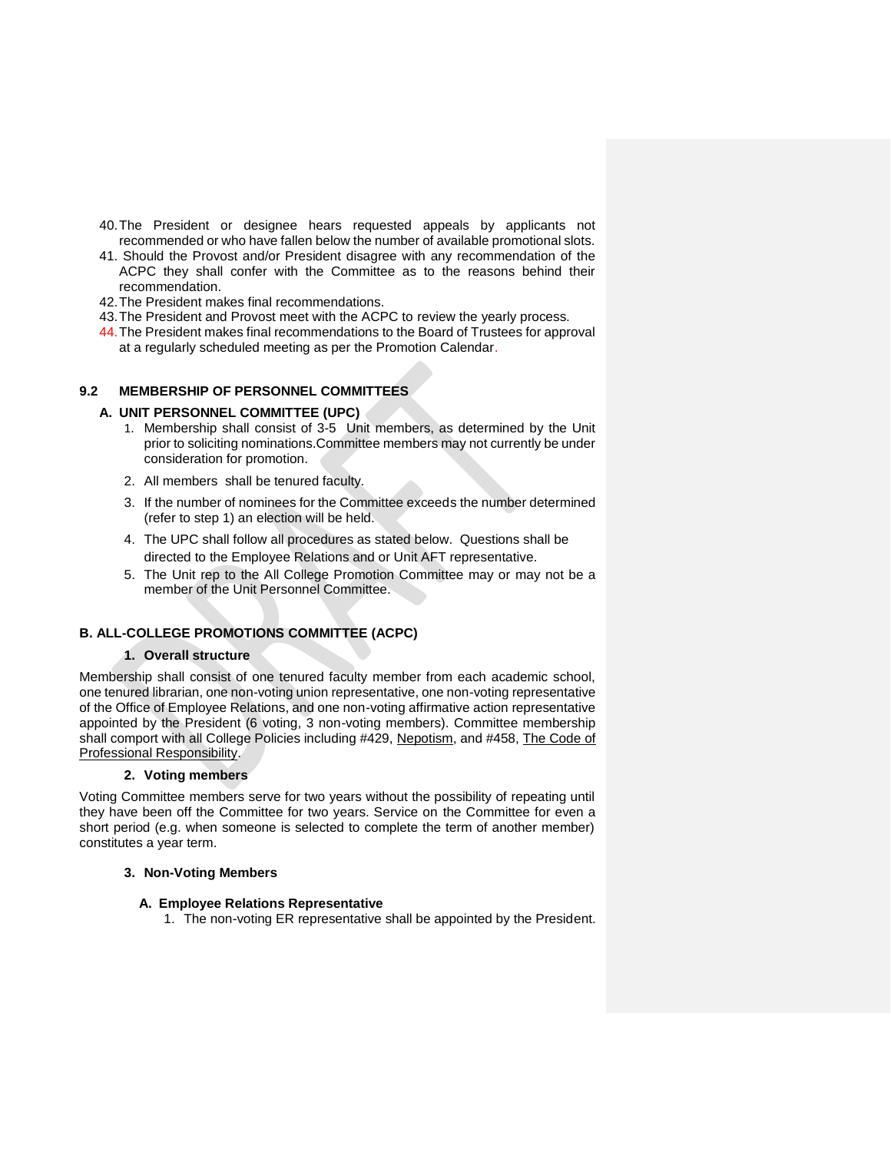- 40.The President or designee hears requested appeals by applicants not recommended or who have fallen below the number of available promotional slots.
- 41. Should the Provost and/or President disagree with any recommendation of the ACPC they shall confer with the Committee as to the reasons behind their recommendation.
- 42.The President makes final recommendations.
- 43.The President and Provost meet with the ACPC to review the yearly process.
- 44.The President makes final recommendations to the Board of Trustees for approval at a regularly scheduled meeting as per the Promotion Calendar.

# **9.2 MEMBERSHIP OF PERSONNEL COMMITTEES**

## **A. UNIT PERSONNEL COMMITTEE (UPC)**

- 1. Membership shall consist of 3-5 Unit members, as determined by the Unit prior to soliciting nominations.Committee members may not currently be under consideration for promotion.
- 2. All members shall be tenured faculty.
- 3. If the number of nominees for the Committee exceeds the number determined (refer to step 1) an election will be held.
- 4. The UPC shall follow all procedures as stated below. Questions shall be directed to the Employee Relations and or Unit AFT representative.
- 5. The Unit rep to the All College Promotion Committee may or may not be a member of the Unit Personnel Committee.

# **B. ALL-COLLEGE PROMOTIONS COMMITTEE (ACPC)**

## **1. Overall structure**

Membership shall consist of one tenured faculty member from each academic school, one tenured librarian, one non-voting union representative, one non-voting representative of the Office of Employee Relations, and one non-voting affirmative action representative appointed by the President (6 voting, 3 non-voting members). Committee membership shall comport with all College Policies including #429, Nepotism, and #458, The Code of Professional Responsibility.

#### **2. Voting members**

Voting Committee members serve for two years without the possibility of repeating until they have been off the Committee for two years. Service on the Committee for even a short period (e.g. when someone is selected to complete the term of another member) constitutes a year term.

#### **3. Non-Voting Members**

# **A. Employee Relations Representative**

1. The non-voting ER representative shall be appointed by the President.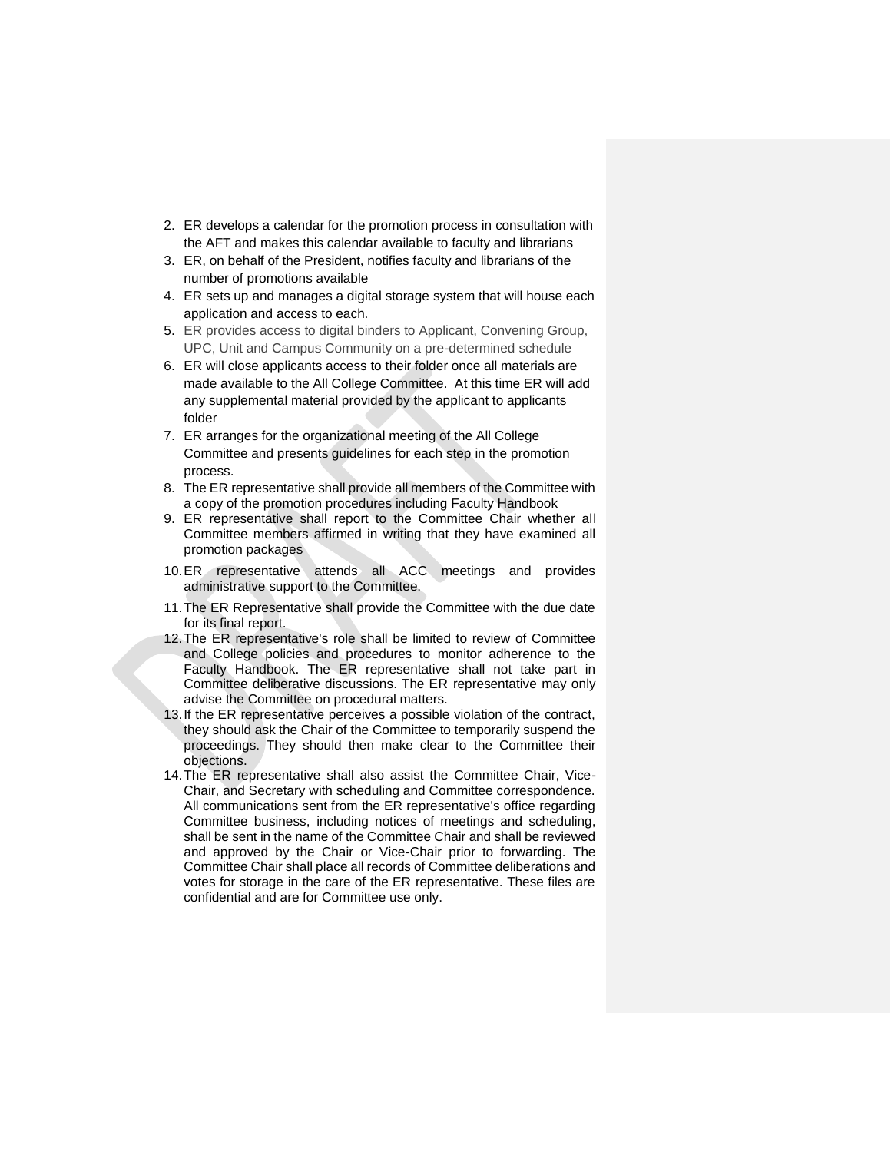- 2. ER develops a calendar for the promotion process in consultation with the AFT and makes this calendar available to faculty and librarians
- 3. ER, on behalf of the President, notifies faculty and librarians of the number of promotions available
- 4. ER sets up and manages a digital storage system that will house each application and access to each.
- 5. ER provides access to digital binders to Applicant, Convening Group, UPC, Unit and Campus Community on a pre-determined schedule
- 6. ER will close applicants access to their folder once all materials are made available to the All College Committee. At this time ER will add any supplemental material provided by the applicant to applicants folder
- 7. ER arranges for the organizational meeting of the All College Committee and presents guidelines for each step in the promotion process.
- 8. The ER representative shall provide all members of the Committee with a copy of the promotion procedures including Faculty Handbook
- 9. ER representative shall report to the Committee Chair whether all Committee members affirmed in writing that they have examined all promotion packages
- 10.ER representative attends all ACC meetings and provides administrative support to the Committee.
- 11.The ER Representative shall provide the Committee with the due date for its final report.
- 12.The ER representative's role shall be limited to review of Committee and College policies and procedures to monitor adherence to the Faculty Handbook. The ER representative shall not take part in Committee deliberative discussions. The ER representative may only advise the Committee on procedural matters.
- 13.If the ER representative perceives a possible violation of the contract, they should ask the Chair of the Committee to temporarily suspend the proceedings. They should then make clear to the Committee their objections.
- 14.The ER representative shall also assist the Committee Chair, Vice-Chair, and Secretary with scheduling and Committee correspondence. All communications sent from the ER representative's office regarding Committee business, including notices of meetings and scheduling, shall be sent in the name of the Committee Chair and shall be reviewed and approved by the Chair or Vice-Chair prior to forwarding. The Committee Chair shall place all records of Committee deliberations and votes for storage in the care of the ER representative. These files are confidential and are for Committee use only.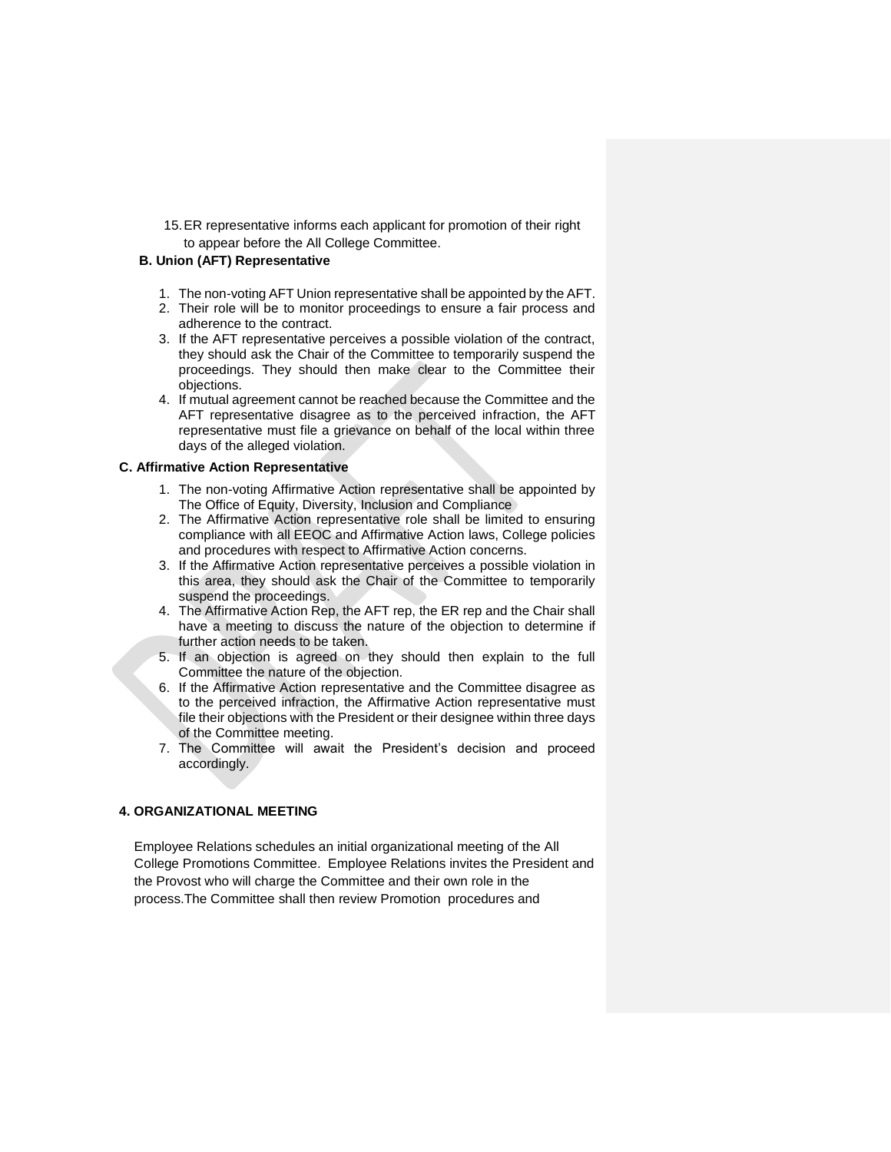15.ER representative informs each applicant for promotion of their right to appear before the All College Committee.

#### **B. Union (AFT) Representative**

- 1. The non-voting AFT Union representative shall be appointed by the AFT.
- 2. Their role will be to monitor proceedings to ensure a fair process and adherence to the contract.
- 3. If the AFT representative perceives a possible violation of the contract, they should ask the Chair of the Committee to temporarily suspend the proceedings. They should then make clear to the Committee their objections.
- 4. If mutual agreement cannot be reached because the Committee and the AFT representative disagree as to the perceived infraction, the AFT representative must file a grievance on behalf of the local within three days of the alleged violation.

#### **C. Affirmative Action Representative**

- 1. The non-voting Affirmative Action representative shall be appointed by The Office of Equity, Diversity, Inclusion and Compliance
- 2. The Affirmative Action representative role shall be limited to ensuring compliance with all EEOC and Affirmative Action laws, College policies and procedures with respect to Affirmative Action concerns.
- 3. If the Affirmative Action representative perceives a possible violation in this area, they should ask the Chair of the Committee to temporarily suspend the proceedings.
- 4. The Affirmative Action Rep, the AFT rep, the ER rep and the Chair shall have a meeting to discuss the nature of the objection to determine if further action needs to be taken.
- 5. If an objection is agreed on they should then explain to the full Committee the nature of the objection.
- 6. If the Affirmative Action representative and the Committee disagree as to the perceived infraction, the Affirmative Action representative must file their objections with the President or their designee within three days of the Committee meeting.
- 7. The Committee will await the President's decision and proceed accordingly.

## **4. ORGANIZATIONAL MEETING**

Employee Relations schedules an initial organizational meeting of the All College Promotions Committee. Employee Relations invites the President and the Provost who will charge the Committee and their own role in the process.The Committee shall then review Promotion procedures and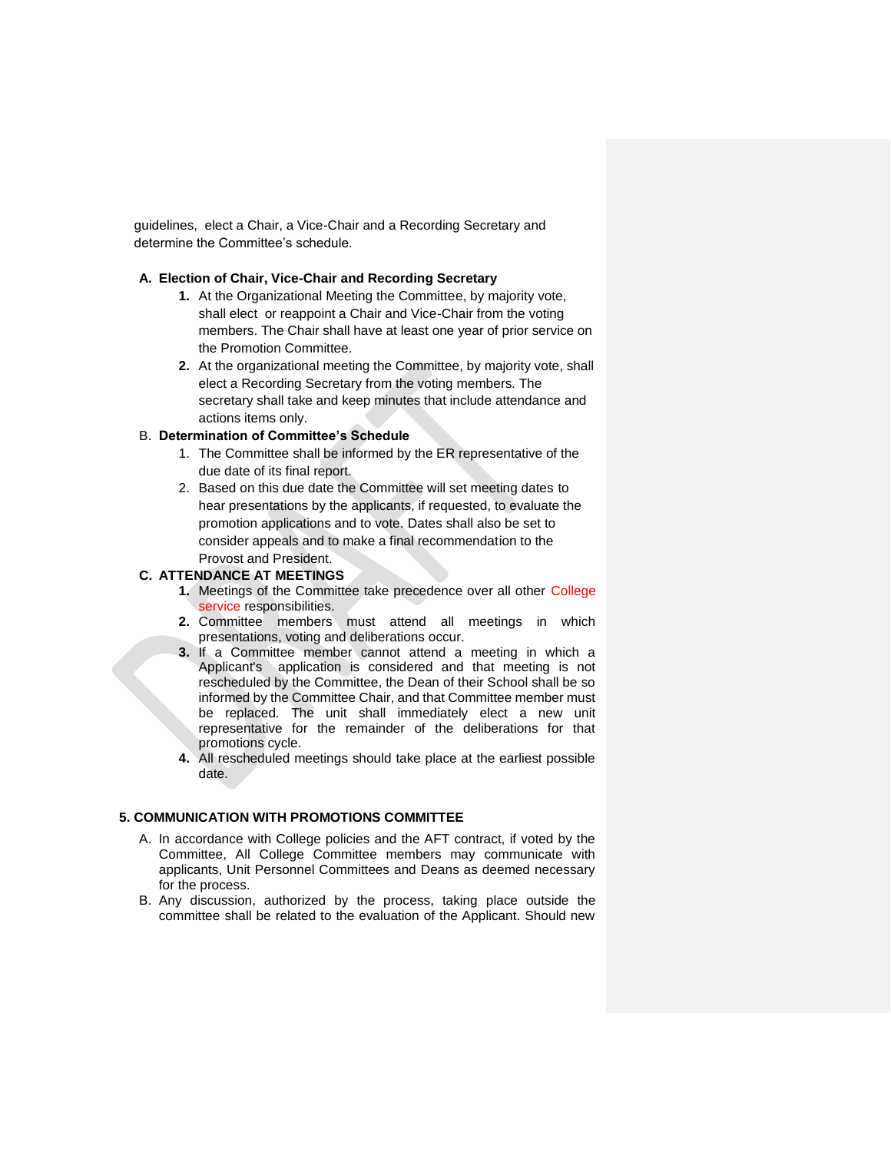guidelines, elect a Chair, a Vice-Chair and a Recording Secretary and determine the Committee's schedule.

#### **A. Election of Chair, Vice-Chair and Recording Secretary**

- **1.** At the Organizational Meeting the Committee, by majority vote, shall elect or reappoint a Chair and Vice-Chair from the voting members. The Chair shall have at least one year of prior service on the Promotion Committee.
- **2.** At the organizational meeting the Committee, by majority vote, shall elect a Recording Secretary from the voting members. The secretary shall take and keep minutes that include attendance and actions items only.

# B. **Determination of Committee's Schedule**

- 1. The Committee shall be informed by the ER representative of the due date of its final report.
- 2. Based on this due date the Committee will set meeting dates to hear presentations by the applicants, if requested, to evaluate the promotion applications and to vote. Dates shall also be set to consider appeals and to make a final recommendation to the Provost and President.

#### **C. ATTENDANCE AT MEETINGS**

- **1.** Meetings of the Committee take precedence over all other College service responsibilities.
- **2.** Committee members must attend all meetings in which presentations, voting and deliberations occur.
- **3.** If a Committee member cannot attend a meeting in which a Applicant's application is considered and that meeting is not rescheduled by the Committee, the Dean of their School shall be so informed by the Committee Chair, and that Committee member must be replaced. The unit shall immediately elect a new unit representative for the remainder of the deliberations for that promotions cycle.
- **4.** All rescheduled meetings should take place at the earliest possible date.

# **5. COMMUNICATION WITH PROMOTIONS COMMITTEE**

- A. In accordance with College policies and the AFT contract, if voted by the Committee, All College Committee members may communicate with applicants, Unit Personnel Committees and Deans as deemed necessary for the process.
- B. Any discussion, authorized by the process, taking place outside the committee shall be related to the evaluation of the Applicant. Should new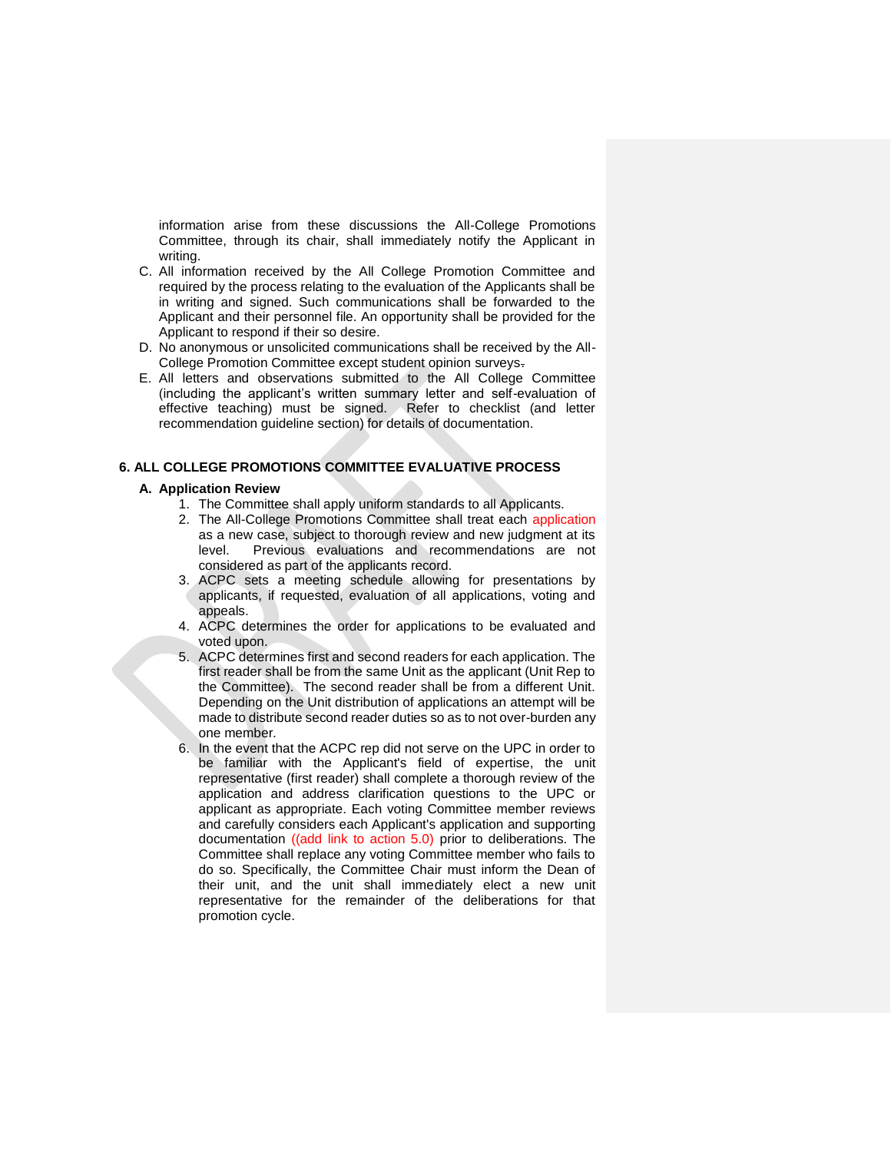information arise from these discussions the All-College Promotions Committee, through its chair, shall immediately notify the Applicant in writing.

- C. All information received by the All College Promotion Committee and required by the process relating to the evaluation of the Applicants shall be in writing and signed. Such communications shall be forwarded to the Applicant and their personnel file. An opportunity shall be provided for the Applicant to respond if their so desire.
- D. No anonymous or unsolicited communications shall be received by the All-College Promotion Committee except student opinion surveys.
- E. All letters and observations submitted to the All College Committee (including the applicant's written summary letter and self-evaluation of effective teaching) must be signed. Refer to checklist (and letter recommendation guideline section) for details of documentation.

## **6. ALL COLLEGE PROMOTIONS COMMITTEE EVALUATIVE PROCESS**

# **A. Application Review**

- 1. The Committee shall apply uniform standards to all Applicants.
- 2. The All-College Promotions Committee shall treat each application as a new case, subject to thorough review and new judgment at its level. Previous evaluations and recommendations are not considered as part of the applicants record.
- 3. ACPC sets a meeting schedule allowing for presentations by applicants, if requested, evaluation of all applications, voting and appeals.
- 4. ACPC determines the order for applications to be evaluated and voted upon.
- 5. ACPC determines first and second readers for each application. The first reader shall be from the same Unit as the applicant (Unit Rep to the Committee). The second reader shall be from a different Unit. Depending on the Unit distribution of applications an attempt will be made to distribute second reader duties so as to not over-burden any one member.
- 6. In the event that the ACPC rep did not serve on the UPC in order to be familiar with the Applicant's field of expertise, the unit representative (first reader) shall complete a thorough review of the application and address clarification questions to the UPC or applicant as appropriate. Each voting Committee member reviews and carefully considers each Applicant's application and supporting documentation ((add link to action 5.0) prior to deliberations. The Committee shall replace any voting Committee member who fails to do so. Specifically, the Committee Chair must inform the Dean of their unit, and the unit shall immediately elect a new unit representative for the remainder of the deliberations for that promotion cycle.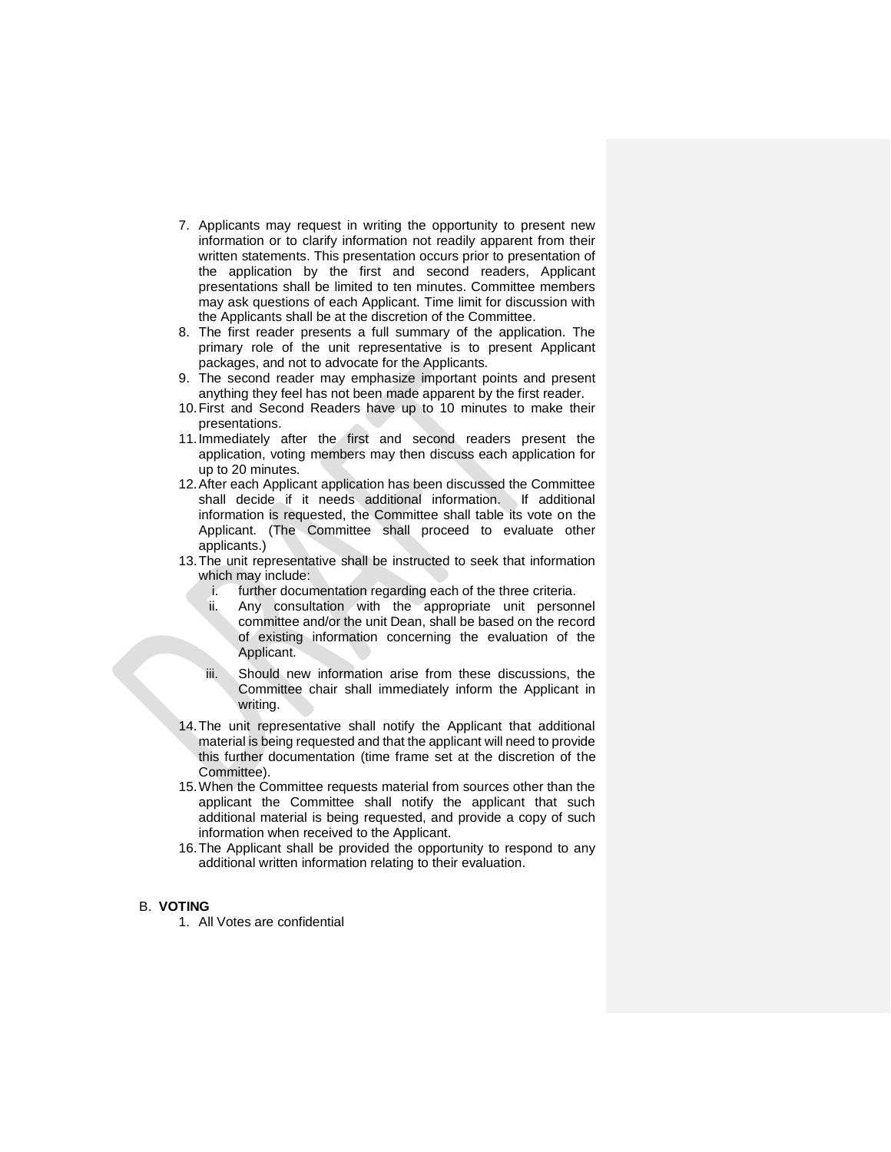- 7. Applicants may request in writing the opportunity to present new information or to clarify information not readily apparent from their written statements. This presentation occurs prior to presentation of the application by the first and second readers, Applicant presentations shall be limited to ten minutes. Committee members may ask questions of each Applicant. Time limit for discussion with the Applicants shall be at the discretion of the Committee.
- 8. The first reader presents a full summary of the application. The primary role of the unit representative is to present Applicant packages, and not to advocate for the Applicants.
- 9. The second reader may emphasize important points and present anything they feel has not been made apparent by the first reader.
- 10.First and Second Readers have up to 10 minutes to make their presentations.
- 11.Immediately after the first and second readers present the application, voting members may then discuss each application for up to 20 minutes.
- 12.After each Applicant application has been discussed the Committee shall decide if it needs additional information. If additional information is requested, the Committee shall table its vote on the Applicant. (The Committee shall proceed to evaluate other applicants.)
- 13.The unit representative shall be instructed to seek that information which may include:
	- i. further documentation regarding each of the three criteria.
	- ii. Any consultation with the appropriate unit personnel committee and/or the unit Dean, shall be based on the record of existing information concerning the evaluation of the Applicant.
	- iii. Should new information arise from these discussions, the Committee chair shall immediately inform the Applicant in writing.
- 14.The unit representative shall notify the Applicant that additional material is being requested and that the applicant will need to provide this further documentation (time frame set at the discretion of the Committee).
- 15.When the Committee requests material from sources other than the applicant the Committee shall notify the applicant that such additional material is being requested, and provide a copy of such information when received to the Applicant.
- 16.The Applicant shall be provided the opportunity to respond to any additional written information relating to their evaluation.

#### B. **VOTING**

1. All Votes are confidential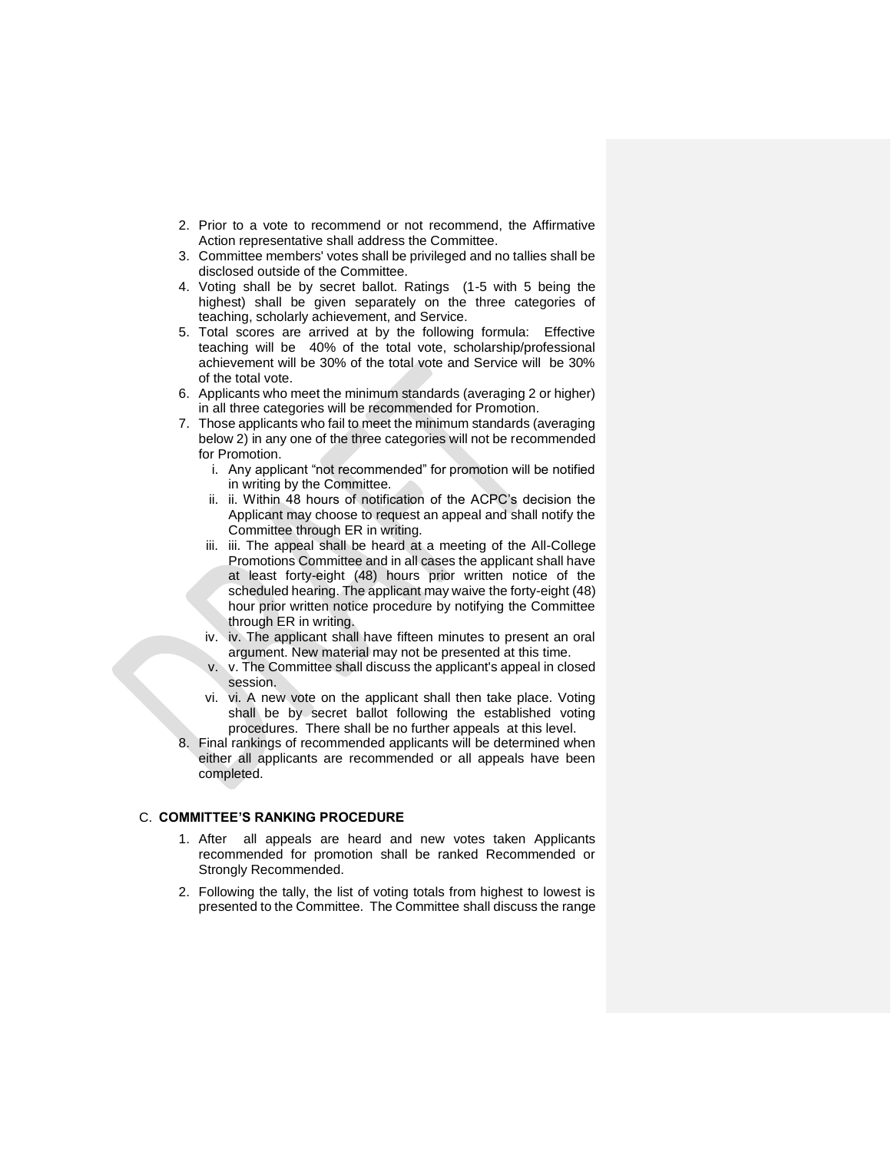- 2. Prior to a vote to recommend or not recommend, the Affirmative Action representative shall address the Committee.
- 3. Committee members' votes shall be privileged and no tallies shall be disclosed outside of the Committee.
- 4. Voting shall be by secret ballot. Ratings (1-5 with 5 being the highest) shall be given separately on the three categories of teaching, scholarly achievement, and Service.
- 5. Total scores are arrived at by the following formula: Effective teaching will be 40% of the total vote, scholarship/professional achievement will be 30% of the total vote and Service will be 30% of the total vote.
- 6. Applicants who meet the minimum standards (averaging 2 or higher) in all three categories will be recommended for Promotion.
- 7. Those applicants who fail to meet the minimum standards (averaging below 2) in any one of the three categories will not be recommended for Promotion.
	- i. Any applicant "not recommended" for promotion will be notified in writing by the Committee.
	- ii. ii. Within 48 hours of notification of the ACPC's decision the Applicant may choose to request an appeal and shall notify the Committee through ER in writing.
	- iii. iii. The appeal shall be heard at a meeting of the All-College Promotions Committee and in all cases the applicant shall have at least forty-eight (48) hours prior written notice of the scheduled hearing. The applicant may waive the forty-eight (48) hour prior written notice procedure by notifying the Committee through ER in writing.
	- iv. iv. The applicant shall have fifteen minutes to present an oral argument. New material may not be presented at this time.
	- v. v. The Committee shall discuss the applicant's appeal in closed session.
	- vi. vi. A new vote on the applicant shall then take place. Voting shall be by secret ballot following the established voting procedures. There shall be no further appeals at this level.
- Final rankings of recommended applicants will be determined when either all applicants are recommended or all appeals have been completed.

#### C. **COMMITTEE'S RANKING PROCEDURE**

- 1. After all appeals are heard and new votes taken Applicants recommended for promotion shall be ranked Recommended or Strongly Recommended.
- 2. Following the tally, the list of voting totals from highest to lowest is presented to the Committee. The Committee shall discuss the range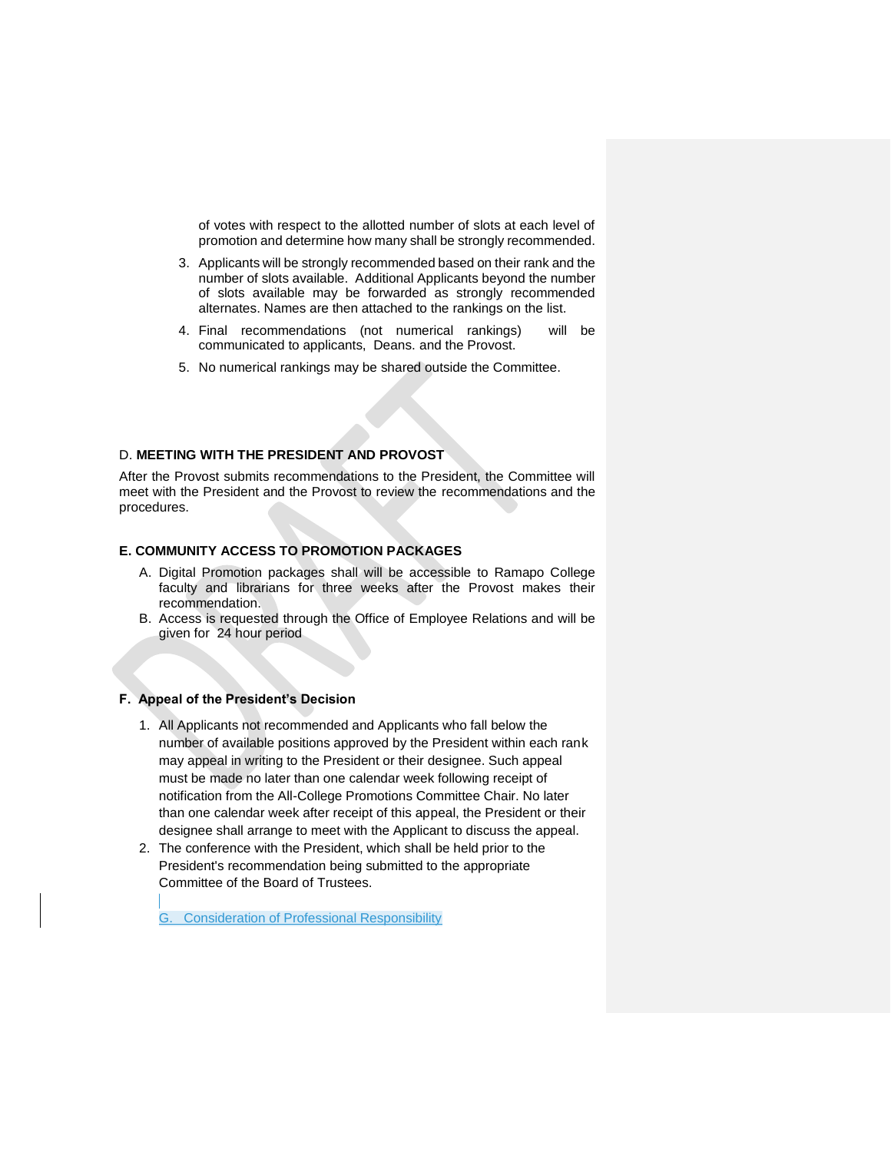of votes with respect to the allotted number of slots at each level of promotion and determine how many shall be strongly recommended.

- 3. Applicants will be strongly recommended based on their rank and the number of slots available. Additional Applicants beyond the number of slots available may be forwarded as strongly recommended alternates. Names are then attached to the rankings on the list.
- 4. Final recommendations (not numerical rankings) will be communicated to applicants, Deans. and the Provost.
- 5. No numerical rankings may be shared outside the Committee.

#### D. **MEETING WITH THE PRESIDENT AND PROVOST**

After the Provost submits recommendations to the President, the Committee will meet with the President and the Provost to review the recommendations and the procedures.

# **E. COMMUNITY ACCESS TO PROMOTION PACKAGES**

- A. Digital Promotion packages shall will be accessible to Ramapo College faculty and librarians for three weeks after the Provost makes their recommendation.
- B. Access is requested through the Office of Employee Relations and will be given for 24 hour period

#### **F. Appeal of the President's Decision**

- 1. All Applicants not recommended and Applicants who fall below the number of available positions approved by the President within each rank may appeal in writing to the President or their designee. Such appeal must be made no later than one calendar week following receipt of notification from the All-College Promotions Committee Chair. No later than one calendar week after receipt of this appeal, the President or their designee shall arrange to meet with the Applicant to discuss the appeal.
- 2. The conference with the President, which shall be held prior to the President's recommendation being submitted to the appropriate Committee of the Board of Trustees.

G. Consideration of Professional Responsibility